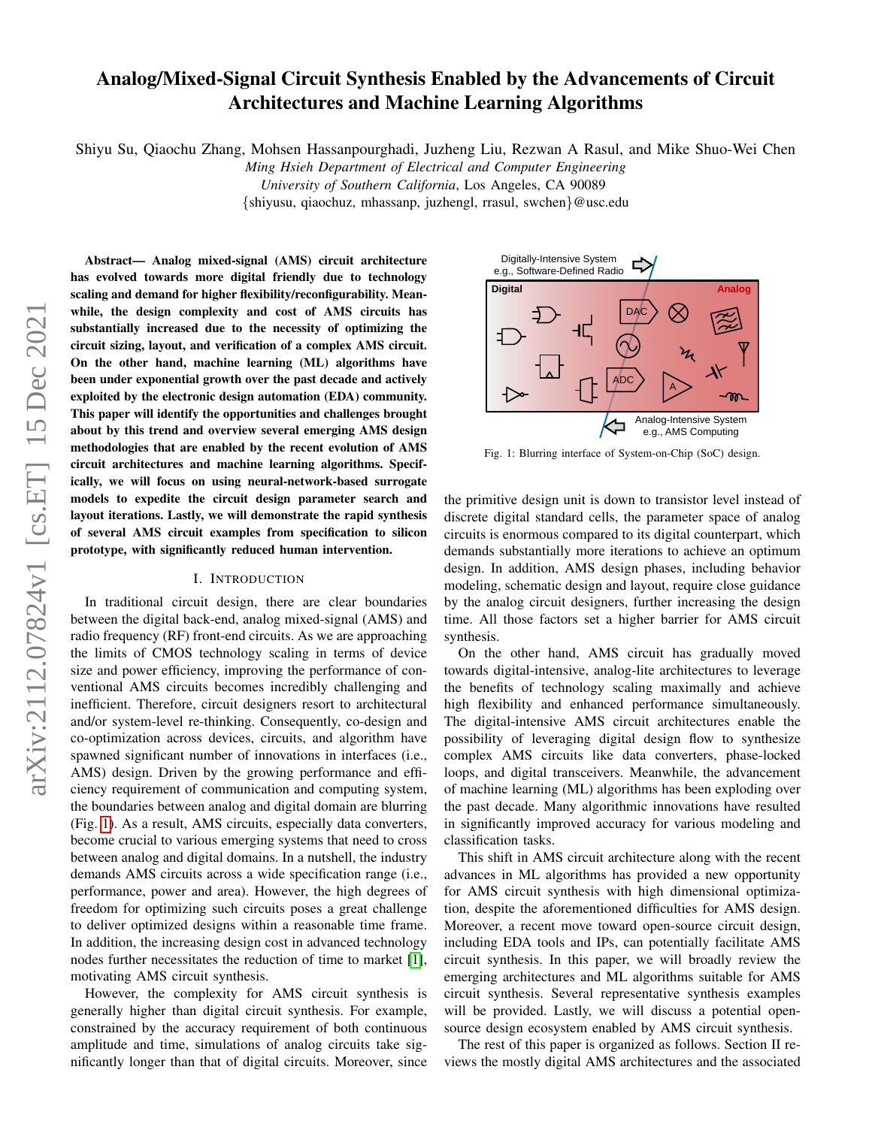# Analog/Mixed-Signal Circuit Synthesis Enabled by the Advancements of Circuit Architectures and Machine Learning Algorithms

Shiyu Su, Qiaochu Zhang, Mohsen Hassanpourghadi, Juzheng Liu, Rezwan A Rasul, and Mike Shuo-Wei Chen

*Ming Hsieh Department of Electrical and Computer Engineering*

*University of Southern California*, Los Angeles, CA 90089

{shiyusu, qiaochuz, mhassanp, juzhengl, rrasul, swchen}@usc.edu

Abstract— Analog mixed-signal (AMS) circuit architecture has evolved towards more digital friendly due to technology scaling and demand for higher flexibility/reconfigurability. Meanwhile, the design complexity and cost of AMS circuits has substantially increased due to the necessity of optimizing the circuit sizing, layout, and verification of a complex AMS circuit. On the other hand, machine learning (ML) algorithms have been under exponential growth over the past decade and actively exploited by the electronic design automation (EDA) community. This paper will identify the opportunities and challenges brought about by this trend and overview several emerging AMS design methodologies that are enabled by the recent evolution of AMS circuit architectures and machine learning algorithms. Specifically, we will focus on using neural-network-based surrogate models to expedite the circuit design parameter search and layout iterations. Lastly, we will demonstrate the rapid synthesis of several AMS circuit examples from specification to silicon prototype, with significantly reduced human intervention.

# I. INTRODUCTION

In traditional circuit design, there are clear boundaries between the digital back-end, analog mixed-signal (AMS) and radio frequency (RF) front-end circuits. As we are approaching the limits of CMOS technology scaling in terms of device size and power efficiency, improving the performance of conventional AMS circuits becomes incredibly challenging and inefficient. Therefore, circuit designers resort to architectural and/or system-level re-thinking. Consequently, co-design and co-optimization across devices, circuits, and algorithm have spawned significant number of innovations in interfaces (i.e., AMS) design. Driven by the growing performance and efficiency requirement of communication and computing system, the boundaries between analog and digital domain are blurring (Fig. [1\)](#page-0-0). As a result, AMS circuits, especially data converters, become crucial to various emerging systems that need to cross between analog and digital domains. In a nutshell, the industry demands AMS circuits across a wide specification range (i.e., performance, power and area). However, the high degrees of freedom for optimizing such circuits poses a great challenge to deliver optimized designs within a reasonable time frame. In addition, the increasing design cost in advanced technology nodes further necessitates the reduction of time to market [\[1\]](#page-6-0), motivating AMS circuit synthesis.

However, the complexity for AMS circuit synthesis is generally higher than digital circuit synthesis. For example, constrained by the accuracy requirement of both continuous amplitude and time, simulations of analog circuits take significantly longer than that of digital circuits. Moreover, since

<span id="page-0-0"></span>

Fig. 1: Blurring interface of System-on-Chip (SoC) design.

the primitive design unit is down to transistor level instead of discrete digital standard cells, the parameter space of analog circuits is enormous compared to its digital counterpart, which demands substantially more iterations to achieve an optimum design. In addition, AMS design phases, including behavior modeling, schematic design and layout, require close guidance by the analog circuit designers, further increasing the design time. All those factors set a higher barrier for AMS circuit synthesis.

On the other hand, AMS circuit has gradually moved towards digital-intensive, analog-lite architectures to leverage the benefits of technology scaling maximally and achieve high flexibility and enhanced performance simultaneously. The digital-intensive AMS circuit architectures enable the possibility of leveraging digital design flow to synthesize complex AMS circuits like data converters, phase-locked loops, and digital transceivers. Meanwhile, the advancement of machine learning (ML) algorithms has been exploding over the past decade. Many algorithmic innovations have resulted in significantly improved accuracy for various modeling and classification tasks.

This shift in AMS circuit architecture along with the recent advances in ML algorithms has provided a new opportunity for AMS circuit synthesis with high dimensional optimization, despite the aforementioned difficulties for AMS design. Moreover, a recent move toward open-source circuit design, including EDA tools and IPs, can potentially facilitate AMS circuit synthesis. In this paper, we will broadly review the emerging architectures and ML algorithms suitable for AMS circuit synthesis. Several representative synthesis examples will be provided. Lastly, we will discuss a potential opensource design ecosystem enabled by AMS circuit synthesis.

The rest of this paper is organized as follows. Section II reviews the mostly digital AMS architectures and the associated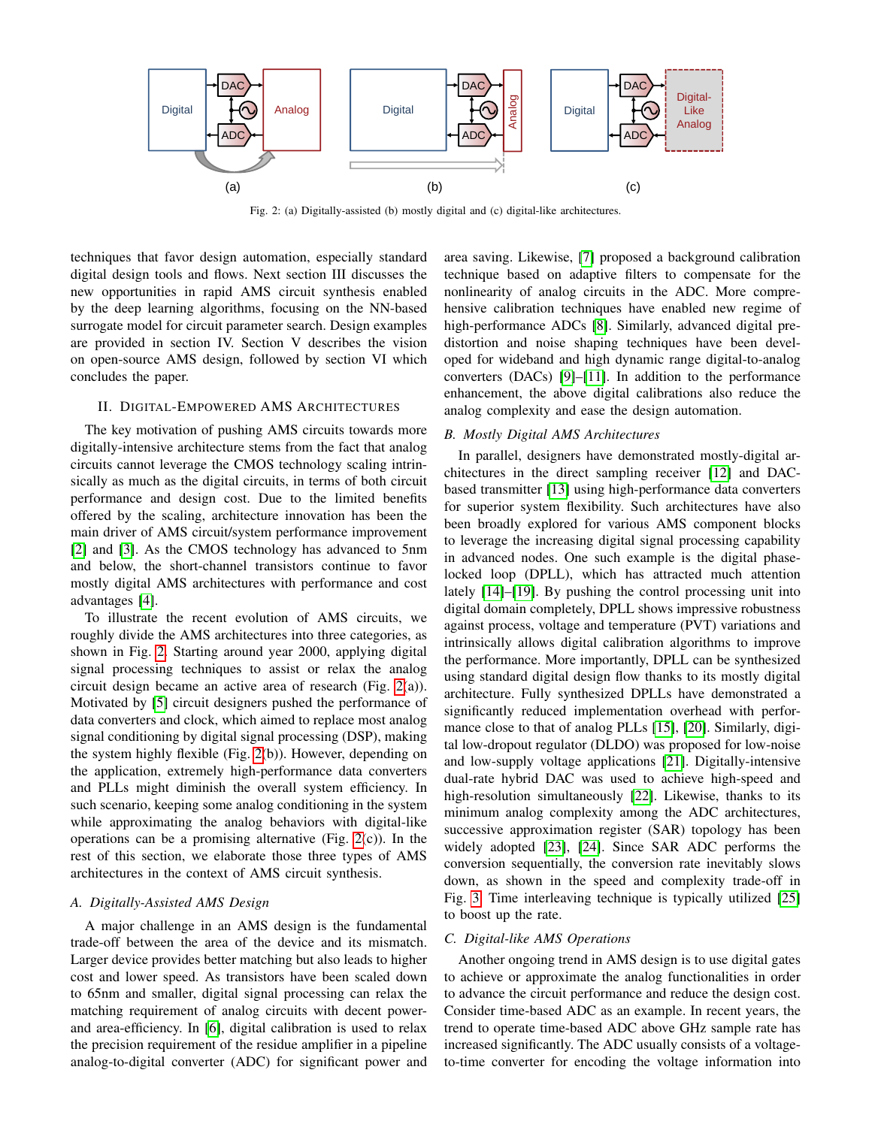<span id="page-1-0"></span>

Fig. 2: (a) Digitally-assisted (b) mostly digital and (c) digital-like architectures.

techniques that favor design automation, especially standard digital design tools and flows. Next section III discusses the new opportunities in rapid AMS circuit synthesis enabled by the deep learning algorithms, focusing on the NN-based surrogate model for circuit parameter search. Design examples are provided in section IV. Section V describes the vision on open-source AMS design, followed by section VI which concludes the paper.

# II. DIGITAL-EMPOWERED AMS ARCHITECTURES

The key motivation of pushing AMS circuits towards more digitally-intensive architecture stems from the fact that analog circuits cannot leverage the CMOS technology scaling intrinsically as much as the digital circuits, in terms of both circuit performance and design cost. Due to the limited benefits offered by the scaling, architecture innovation has been the main driver of AMS circuit/system performance improvement [\[2\]](#page-6-1) and [\[3\]](#page-6-2). As the CMOS technology has advanced to 5nm and below, the short-channel transistors continue to favor mostly digital AMS architectures with performance and cost advantages [\[4\]](#page-6-3).

To illustrate the recent evolution of AMS circuits, we roughly divide the AMS architectures into three categories, as shown in Fig. [2.](#page-1-0) Starting around year 2000, applying digital signal processing techniques to assist or relax the analog circuit design became an active area of research (Fig. [2\(](#page-1-0)a)). Motivated by [\[5\]](#page-6-4) circuit designers pushed the performance of data converters and clock, which aimed to replace most analog signal conditioning by digital signal processing (DSP), making the system highly flexible (Fig. [2\(](#page-1-0)b)). However, depending on the application, extremely high-performance data converters and PLLs might diminish the overall system efficiency. In such scenario, keeping some analog conditioning in the system while approximating the analog behaviors with digital-like operations can be a promising alternative (Fig. [2\(](#page-1-0)c)). In the rest of this section, we elaborate those three types of AMS architectures in the context of AMS circuit synthesis.

### *A. Digitally-Assisted AMS Design*

A major challenge in an AMS design is the fundamental trade-off between the area of the device and its mismatch. Larger device provides better matching but also leads to higher cost and lower speed. As transistors have been scaled down to 65nm and smaller, digital signal processing can relax the matching requirement of analog circuits with decent powerand area-efficiency. In [\[6\]](#page-6-5), digital calibration is used to relax the precision requirement of the residue amplifier in a pipeline analog-to-digital converter (ADC) for significant power and area saving. Likewise, [\[7\]](#page-6-6) proposed a background calibration technique based on adaptive filters to compensate for the nonlinearity of analog circuits in the ADC. More comprehensive calibration techniques have enabled new regime of high-performance ADCs [\[8\]](#page-6-7). Similarly, advanced digital predistortion and noise shaping techniques have been developed for wideband and high dynamic range digital-to-analog converters (DACs) [\[9\]](#page-6-8)–[\[11\]](#page-6-9). In addition to the performance enhancement, the above digital calibrations also reduce the analog complexity and ease the design automation.

# *B. Mostly Digital AMS Architectures*

In parallel, designers have demonstrated mostly-digital architectures in the direct sampling receiver [\[12\]](#page-6-10) and DACbased transmitter [\[13\]](#page-6-11) using high-performance data converters for superior system flexibility. Such architectures have also been broadly explored for various AMS component blocks to leverage the increasing digital signal processing capability in advanced nodes. One such example is the digital phaselocked loop (DPLL), which has attracted much attention lately [\[14\]](#page-6-12)–[\[19\]](#page-7-0). By pushing the control processing unit into digital domain completely, DPLL shows impressive robustness against process, voltage and temperature (PVT) variations and intrinsically allows digital calibration algorithms to improve the performance. More importantly, DPLL can be synthesized using standard digital design flow thanks to its mostly digital architecture. Fully synthesized DPLLs have demonstrated a significantly reduced implementation overhead with performance close to that of analog PLLs [\[15\]](#page-7-1), [\[20\]](#page-7-2). Similarly, digital low-dropout regulator (DLDO) was proposed for low-noise and low-supply voltage applications [\[21\]](#page-7-3). Digitally-intensive dual-rate hybrid DAC was used to achieve high-speed and high-resolution simultaneously [\[22\]](#page-7-4). Likewise, thanks to its minimum analog complexity among the ADC architectures, successive approximation register (SAR) topology has been widely adopted [\[23\]](#page-7-5), [\[24\]](#page-7-6). Since SAR ADC performs the conversion sequentially, the conversion rate inevitably slows down, as shown in the speed and complexity trade-off in Fig. [3.](#page-2-0) Time interleaving technique is typically utilized [\[25\]](#page-7-7) to boost up the rate.

### *C. Digital-like AMS Operations*

Another ongoing trend in AMS design is to use digital gates to achieve or approximate the analog functionalities in order to advance the circuit performance and reduce the design cost. Consider time-based ADC as an example. In recent years, the trend to operate time-based ADC above GHz sample rate has increased significantly. The ADC usually consists of a voltageto-time converter for encoding the voltage information into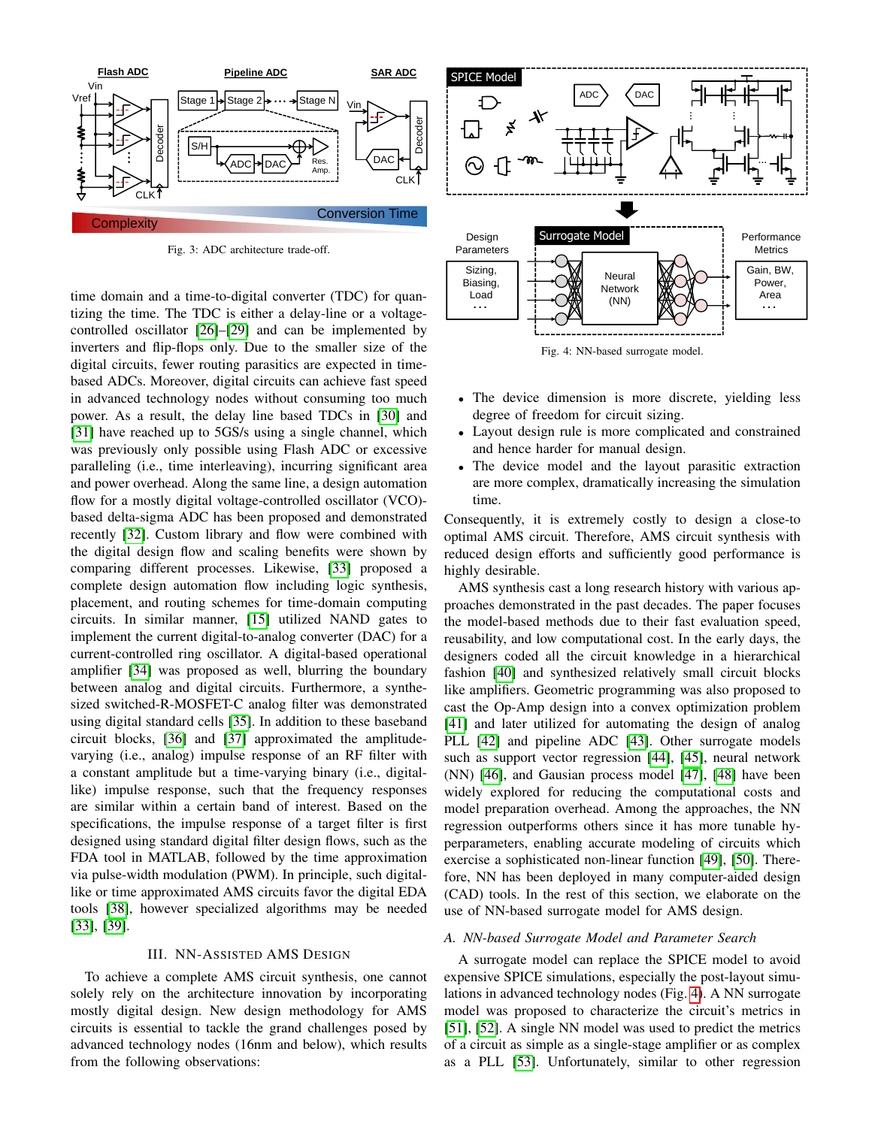<span id="page-2-0"></span>

Fig. 3: ADC architecture trade-off.

time domain and a time-to-digital converter (TDC) for quantizing the time. The TDC is either a delay-line or a voltagecontrolled oscillator [\[26\]](#page-7-8)–[\[29\]](#page-7-9) and can be implemented by inverters and flip-flops only. Due to the smaller size of the digital circuits, fewer routing parasitics are expected in timebased ADCs. Moreover, digital circuits can achieve fast speed in advanced technology nodes without consuming too much power. As a result, the delay line based TDCs in [\[30\]](#page-7-10) and [\[31\]](#page-7-11) have reached up to 5GS/s using a single channel, which was previously only possible using Flash ADC or excessive paralleling (i.e., time interleaving), incurring significant area and power overhead. Along the same line, a design automation flow for a mostly digital voltage-controlled oscillator (VCO) based delta-sigma ADC has been proposed and demonstrated recently [\[32\]](#page-7-12). Custom library and flow were combined with the digital design flow and scaling benefits were shown by comparing different processes. Likewise, [\[33\]](#page-7-13) proposed a complete design automation flow including logic synthesis, placement, and routing schemes for time-domain computing circuits. In similar manner, [\[15\]](#page-7-1) utilized NAND gates to implement the current digital-to-analog converter (DAC) for a current-controlled ring oscillator. A digital-based operational amplifier [\[34\]](#page-7-14) was proposed as well, blurring the boundary between analog and digital circuits. Furthermore, a synthesized switched-R-MOSFET-C analog filter was demonstrated using digital standard cells [\[35\]](#page-7-15). In addition to these baseband circuit blocks, [\[36\]](#page-7-16) and [\[37\]](#page-7-17) approximated the amplitudevarying (i.e., analog) impulse response of an RF filter with a constant amplitude but a time-varying binary (i.e., digitallike) impulse response, such that the frequency responses are similar within a certain band of interest. Based on the specifications, the impulse response of a target filter is first designed using standard digital filter design flows, such as the FDA tool in MATLAB, followed by the time approximation via pulse-width modulation (PWM). In principle, such digitallike or time approximated AMS circuits favor the digital EDA tools [\[38\]](#page-7-18), however specialized algorithms may be needed [\[33\]](#page-7-13), [\[39\]](#page-7-19). **EXERCT AND THE CONFERCT CONFERCT CONFERCT CONFERCT CONFERCT CONFERCT CONFERCT CONFERCT CONFERCT CONFERCT CONFERCT CONFERCT CONFERCT CONFERCT CONFERCT CONFERCT CONFERCT CONFERCT CONFERCT CONFERCT CONFERCT CONFERCT CONFERC** 

### III. NN-ASSISTED AMS DESIGN

To achieve a complete AMS circuit synthesis, one cannot solely rely on the architecture innovation by incorporating mostly digital design. New design methodology for AMS circuits is essential to tackle the grand challenges posed by advanced technology nodes (16nm and below), which results

<span id="page-2-1"></span>

- The device dimension is more discrete, yielding less degree of freedom for circuit sizing.
- Layout design rule is more complicated and constrained and hence harder for manual design.
- The device model and the layout parasitic extraction are more complex, dramatically increasing the simulation time.

Consequently, it is extremely costly to design a close-to optimal AMS circuit. Therefore, AMS circuit synthesis with reduced design efforts and sufficiently good performance is highly desirable.

AMS synthesis cast a long research history with various approaches demonstrated in the past decades. The paper focuses the model-based methods due to their fast evaluation speed, reusability, and low computational cost. In the early days, the designers coded all the circuit knowledge in a hierarchical fashion [\[40\]](#page-7-20) and synthesized relatively small circuit blocks like amplifiers. Geometric programming was also proposed to cast the Op-Amp design into a convex optimization problem [\[41\]](#page-7-21) and later utilized for automating the design of analog PLL [\[42\]](#page-7-22) and pipeline ADC [\[43\]](#page-7-23). Other surrogate models such as support vector regression [\[44\]](#page-7-24), [\[45\]](#page-7-25), neural network (NN) [\[46\]](#page-7-26), and Gausian process model [\[47\]](#page-7-27), [\[48\]](#page-7-28) have been widely explored for reducing the computational costs and model preparation overhead. Among the approaches, the NN regression outperforms others since it has more tunable hyperparameters, enabling accurate modeling of circuits which exercise a sophisticated non-linear function [\[49\]](#page-7-29), [\[50\]](#page-7-30). Therefore, NN has been deployed in many computer-aided design (CAD) tools. In the rest of this section, we elaborate on the use of NN-based surrogate model for AMS design.

#### *A. NN-based Surrogate Model and Parameter Search*

A surrogate model can replace the SPICE model to avoid expensive SPICE simulations, especially the post-layout simulations in advanced technology nodes (Fig. [4\)](#page-2-1). A NN surrogate model was proposed to characterize the circuit's metrics in [\[51\]](#page-7-31), [\[52\]](#page-7-32). A single NN model was used to predict the metrics of a circuit as simple as a single-stage amplifier or as complex as a PLL [\[53\]](#page-7-33). Unfortunately, similar to other regression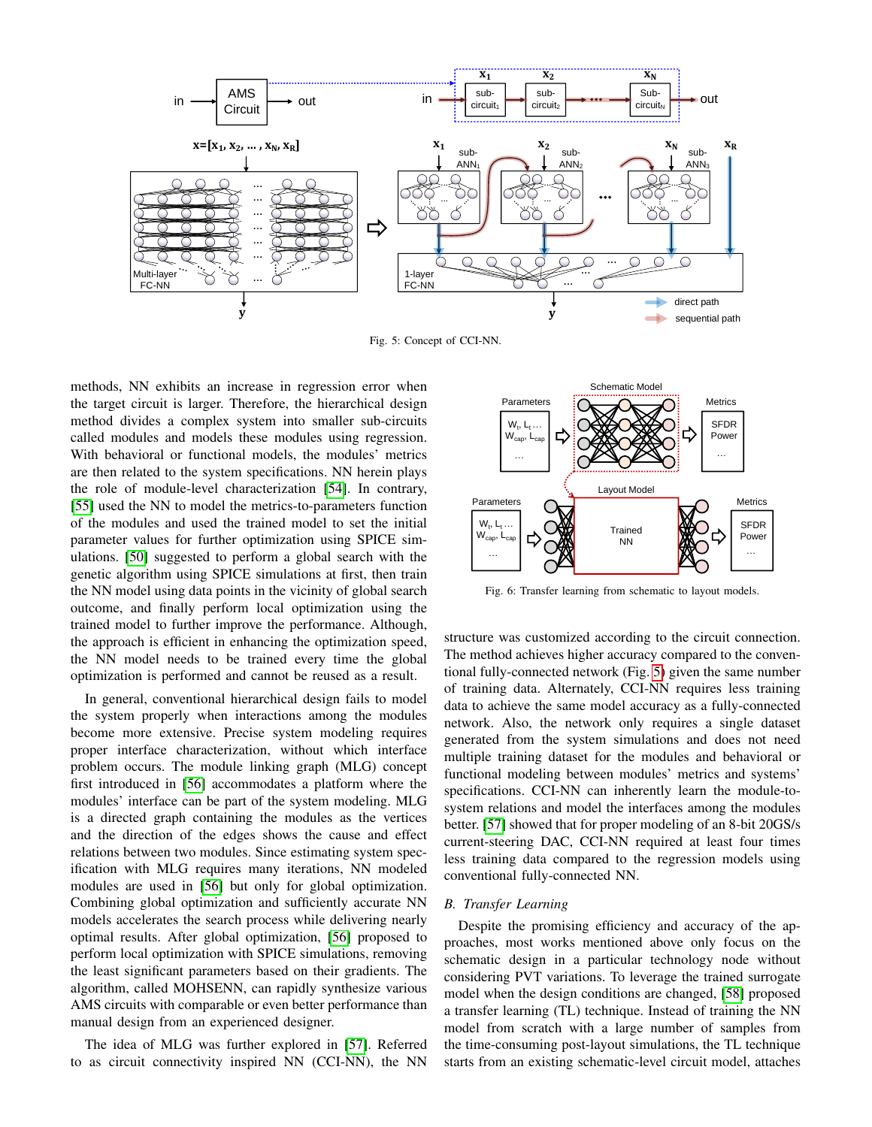<span id="page-3-0"></span>

Fig. 5: Concept of CCI-NN.

methods, NN exhibits an increase in regression error when the target circuit is larger. Therefore, the hierarchical design method divides a complex system into smaller sub-circuits called modules and models these modules using regression. With behavioral or functional models, the modules' metrics are then related to the system specifications. NN herein plays the role of module-level characterization [\[54\]](#page-7-34). In contrary, [\[55\]](#page-7-35) used the NN to model the metrics-to-parameters function of the modules and used the trained model to set the initial parameter values for further optimization using SPICE simulations. [\[50\]](#page-7-30) suggested to perform a global search with the genetic algorithm using SPICE simulations at first, then train the NN model using data points in the vicinity of global search outcome, and finally perform local optimization using the trained model to further improve the performance. Although, the approach is efficient in enhancing the optimization speed, the NN model needs to be trained every time the global optimization is performed and cannot be reused as a result.

In general, conventional hierarchical design fails to model the system properly when interactions among the modules become more extensive. Precise system modeling requires proper interface characterization, without which interface problem occurs. The module linking graph (MLG) concept first introduced in [\[56\]](#page-7-36) accommodates a platform where the modules' interface can be part of the system modeling. MLG is a directed graph containing the modules as the vertices and the direction of the edges shows the cause and effect relations between two modules. Since estimating system specification with MLG requires many iterations, NN modeled modules are used in [\[56\]](#page-7-36) but only for global optimization. Combining global optimization and sufficiently accurate NN models accelerates the search process while delivering nearly optimal results. After global optimization, [\[56\]](#page-7-36) proposed to perform local optimization with SPICE simulations, removing the least significant parameters based on their gradients. The algorithm, called MOHSENN, can rapidly synthesize various AMS circuits with comparable or even better performance than manual design from an experienced designer.

The idea of MLG was further explored in [\[57\]](#page-7-37). Referred to as circuit connectivity inspired NN (CCI-NN), the NN



Fig. 6: Transfer learning from schematic to layout models.

structure was customized according to the circuit connection. The method achieves higher accuracy compared to the conventional fully-connected network (Fig. [5\)](#page-3-0) given the same number of training data. Alternately, CCI-NN requires less training data to achieve the same model accuracy as a fully-connected network. Also, the network only requires a single dataset generated from the system simulations and does not need multiple training dataset for the modules and behavioral or functional modeling between modules' metrics and systems' specifications. CCI-NN can inherently learn the module-tosystem relations and model the interfaces among the modules better. [\[57\]](#page-7-37) showed that for proper modeling of an 8-bit 20GS/s current-steering DAC, CCI-NN required at least four times less training data compared to the regression models using conventional fully-connected NN.

### *B. Transfer Learning*

Despite the promising efficiency and accuracy of the approaches, most works mentioned above only focus on the schematic design in a particular technology node without considering PVT variations. To leverage the trained surrogate model when the design conditions are changed, [\[58\]](#page-7-38) proposed a transfer learning (TL) technique. Instead of training the NN model from scratch with a large number of samples from the time-consuming post-layout simulations, the TL technique starts from an existing schematic-level circuit model, attaches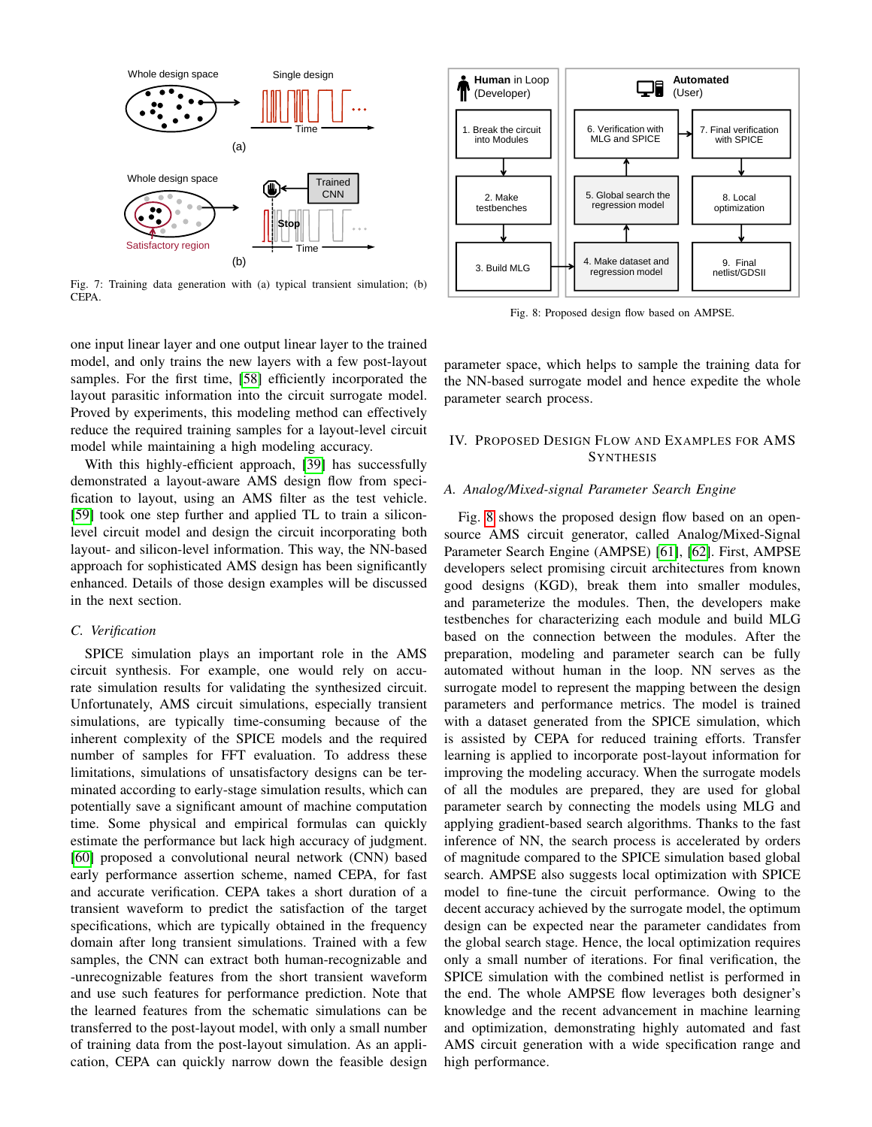

Fig. 7: Training data generation with (a) typical transient simulation; (b) CEPA.

one input linear layer and one output linear layer to the trained model, and only trains the new layers with a few post-layout samples. For the first time, [\[58\]](#page-7-38) efficiently incorporated the layout parasitic information into the circuit surrogate model. Proved by experiments, this modeling method can effectively reduce the required training samples for a layout-level circuit model while maintaining a high modeling accuracy.

With this highly-efficient approach, [\[39\]](#page-7-19) has successfully demonstrated a layout-aware AMS design flow from specification to layout, using an AMS filter as the test vehicle. [\[59\]](#page-7-39) took one step further and applied TL to train a siliconlevel circuit model and design the circuit incorporating both layout- and silicon-level information. This way, the NN-based approach for sophisticated AMS design has been significantly enhanced. Details of those design examples will be discussed in the next section.

## *C. Verification*

SPICE simulation plays an important role in the AMS circuit synthesis. For example, one would rely on accurate simulation results for validating the synthesized circuit. Unfortunately, AMS circuit simulations, especially transient simulations, are typically time-consuming because of the inherent complexity of the SPICE models and the required number of samples for FFT evaluation. To address these limitations, simulations of unsatisfactory designs can be terminated according to early-stage simulation results, which can potentially save a significant amount of machine computation time. Some physical and empirical formulas can quickly estimate the performance but lack high accuracy of judgment. [\[60\]](#page-7-40) proposed a convolutional neural network (CNN) based early performance assertion scheme, named CEPA, for fast and accurate verification. CEPA takes a short duration of a transient waveform to predict the satisfaction of the target specifications, which are typically obtained in the frequency domain after long transient simulations. Trained with a few samples, the CNN can extract both human-recognizable and -unrecognizable features from the short transient waveform and use such features for performance prediction. Note that the learned features from the schematic simulations can be transferred to the post-layout model, with only a small number of training data from the post-layout simulation. As an application, CEPA can quickly narrow down the feasible design

<span id="page-4-0"></span>

Fig. 8: Proposed design flow based on AMPSE.

parameter space, which helps to sample the training data for the NN-based surrogate model and hence expedite the whole parameter search process.

# IV. PROPOSED DESIGN FLOW AND EXAMPLES FOR AMS **SYNTHESIS**

### *A. Analog/Mixed-signal Parameter Search Engine*

Fig. [8](#page-4-0) shows the proposed design flow based on an opensource AMS circuit generator, called Analog/Mixed-Signal Parameter Search Engine (AMPSE) [\[61\]](#page-7-41), [\[62\]](#page-7-42). First, AMPSE developers select promising circuit architectures from known good designs (KGD), break them into smaller modules, and parameterize the modules. Then, the developers make testbenches for characterizing each module and build MLG based on the connection between the modules. After the preparation, modeling and parameter search can be fully automated without human in the loop. NN serves as the surrogate model to represent the mapping between the design parameters and performance metrics. The model is trained with a dataset generated from the SPICE simulation, which is assisted by CEPA for reduced training efforts. Transfer learning is applied to incorporate post-layout information for improving the modeling accuracy. When the surrogate models of all the modules are prepared, they are used for global parameter search by connecting the models using MLG and applying gradient-based search algorithms. Thanks to the fast inference of NN, the search process is accelerated by orders of magnitude compared to the SPICE simulation based global search. AMPSE also suggests local optimization with SPICE model to fine-tune the circuit performance. Owing to the decent accuracy achieved by the surrogate model, the optimum design can be expected near the parameter candidates from the global search stage. Hence, the local optimization requires only a small number of iterations. For final verification, the SPICE simulation with the combined netlist is performed in the end. The whole AMPSE flow leverages both designer's knowledge and the recent advancement in machine learning and optimization, demonstrating highly automated and fast AMS circuit generation with a wide specification range and high performance.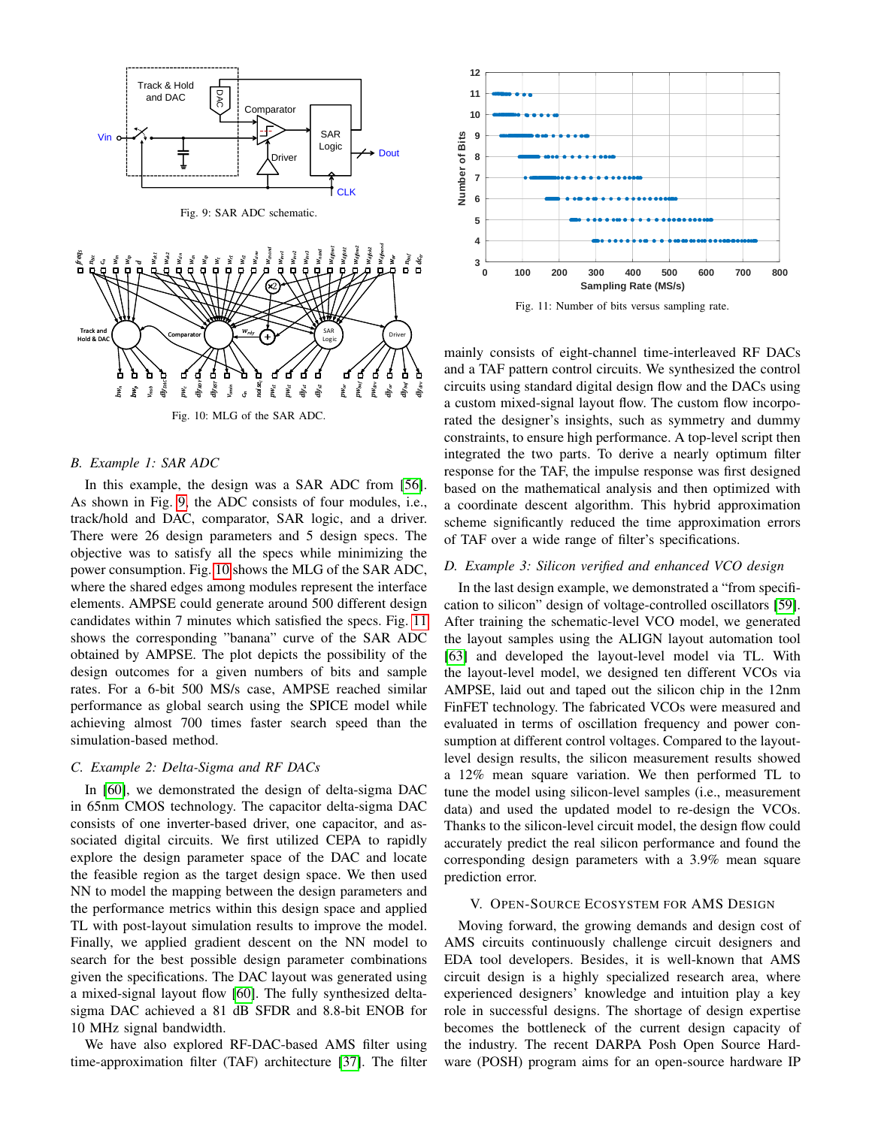<span id="page-5-0"></span>

*cin* Fig. 10: MLG of the SAR ADC.

*noisec*

*pws1 pws1 dlys1*  $dy_{si}$  *pwor pwbuf pwdrv dlyor dlybuf dlydrv*

 $dy_{RS}$ 

*vomin*

*dlyRDY*

*pwc*

### *B. Example 1: SAR ADC*

<span id="page-5-1"></span>*bw<sup>n</sup> bw<sup>p</sup> vmsb dlyDAC*

In this example, the design was a SAR ADC from [\[56\]](#page-7-36). As shown in Fig. [9,](#page-5-0) the ADC consists of four modules, i.e., track/hold and DAC, comparator, SAR logic, and a driver. There were 26 design parameters and 5 design specs. The objective was to satisfy all the specs while minimizing the power consumption. Fig. [10](#page-5-1) shows the MLG of the SAR ADC, where the shared edges among modules represent the interface elements. AMPSE could generate around 500 different design candidates within 7 minutes which satisfied the specs. Fig. [11](#page-5-2) shows the corresponding "banana" curve of the SAR ADC obtained by AMPSE. The plot depicts the possibility of the design outcomes for a given numbers of bits and sample rates. For a 6-bit 500 MS/s case, AMPSE reached similar performance as global search using the SPICE model while achieving almost 700 times faster search speed than the simulation-based method.

# *C. Example 2: Delta-Sigma and RF DACs*

In [\[60\]](#page-7-40), we demonstrated the design of delta-sigma DAC in 65nm CMOS technology. The capacitor delta-sigma DAC consists of one inverter-based driver, one capacitor, and associated digital circuits. We first utilized CEPA to rapidly explore the design parameter space of the DAC and locate the feasible region as the target design space. We then used NN to model the mapping between the design parameters and the performance metrics within this design space and applied TL with post-layout simulation results to improve the model. Finally, we applied gradient descent on the NN model to search for the best possible design parameter combinations given the specifications. The DAC layout was generated using a mixed-signal layout flow [\[60\]](#page-7-40). The fully synthesized deltasigma DAC achieved a 81 dB SFDR and 8.8-bit ENOB for 10 MHz signal bandwidth.

We have also explored RF-DAC-based AMS filter using time-approximation filter (TAF) architecture [\[37\]](#page-7-17). The filter

<span id="page-5-2"></span>

Fig. 11: Number of bits versus sampling rate.

mainly consists of eight-channel time-interleaved RF DACs and a TAF pattern control circuits. We synthesized the control circuits using standard digital design flow and the DACs using a custom mixed-signal layout flow. The custom flow incorporated the designer's insights, such as symmetry and dummy constraints, to ensure high performance. A top-level script then integrated the two parts. To derive a nearly optimum filter response for the TAF, the impulse response was first designed based on the mathematical analysis and then optimized with a coordinate descent algorithm. This hybrid approximation scheme significantly reduced the time approximation errors of TAF over a wide range of filter's specifications.

#### *D. Example 3: Silicon verified and enhanced VCO design*

In the last design example, we demonstrated a "from specification to silicon" design of voltage-controlled oscillators [\[59\]](#page-7-39). After training the schematic-level VCO model, we generated the layout samples using the ALIGN layout automation tool [\[63\]](#page-7-43) and developed the layout-level model via TL. With the layout-level model, we designed ten different VCOs via AMPSE, laid out and taped out the silicon chip in the 12nm FinFET technology. The fabricated VCOs were measured and evaluated in terms of oscillation frequency and power consumption at different control voltages. Compared to the layoutlevel design results, the silicon measurement results showed a 12% mean square variation. We then performed TL to tune the model using silicon-level samples (i.e., measurement data) and used the updated model to re-design the VCOs. Thanks to the silicon-level circuit model, the design flow could accurately predict the real silicon performance and found the corresponding design parameters with a 3.9% mean square prediction error.

### V. OPEN-SOURCE ECOSYSTEM FOR AMS DESIGN

Moving forward, the growing demands and design cost of AMS circuits continuously challenge circuit designers and EDA tool developers. Besides, it is well-known that AMS circuit design is a highly specialized research area, where experienced designers' knowledge and intuition play a key role in successful designs. The shortage of design expertise becomes the bottleneck of the current design capacity of the industry. The recent DARPA Posh Open Source Hardware (POSH) program aims for an open-source hardware IP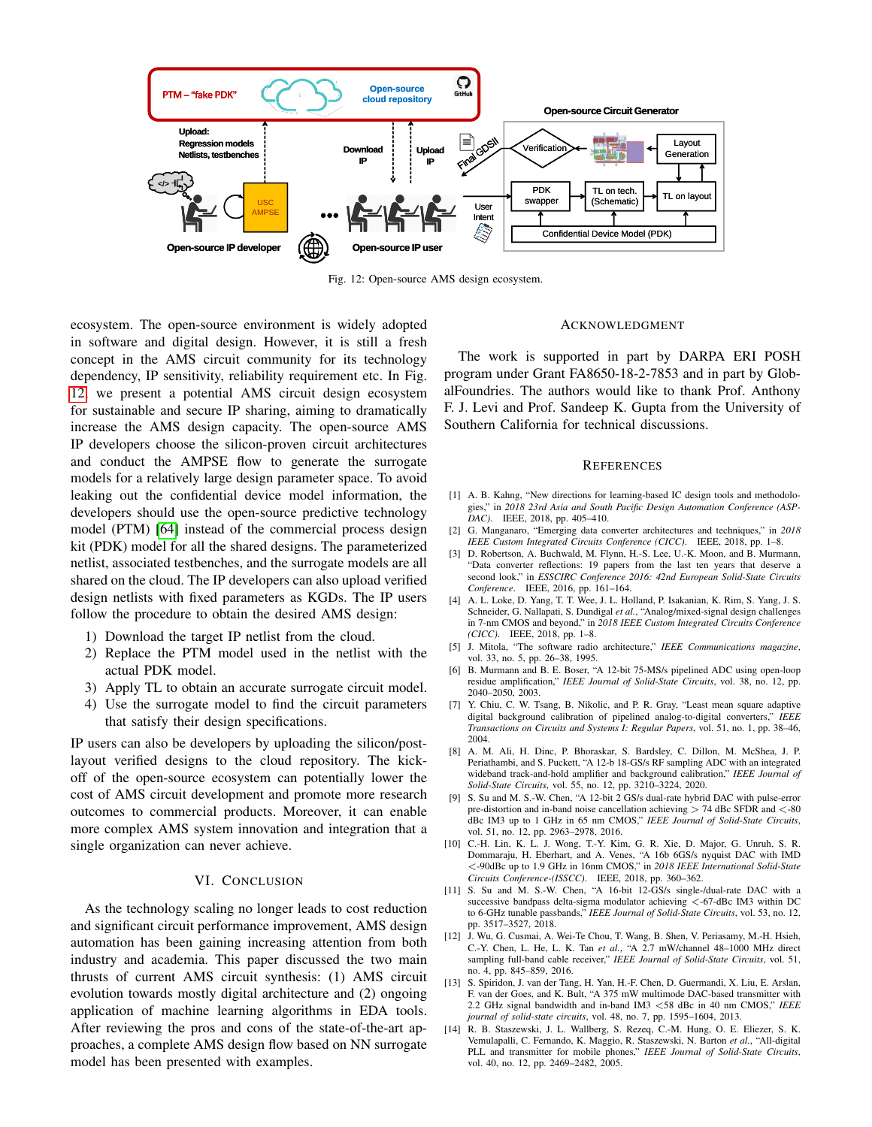<span id="page-6-13"></span>

Fig. 12: Open-source AMS design ecosystem.

ecosystem. The open-source environment is widely adopted in software and digital design. However, it is still a fresh concept in the AMS circuit community for its technology dependency, IP sensitivity, reliability requirement etc. In Fig. [12,](#page-6-13) we present a potential AMS circuit design ecosystem for sustainable and secure IP sharing, aiming to dramatically increase the AMS design capacity. The open-source AMS IP developers choose the silicon-proven circuit architectures and conduct the AMPSE flow to generate the surrogate models for a relatively large design parameter space. To avoid leaking out the confidential device model information, the developers should use the open-source predictive technology model (PTM) [\[64\]](#page-7-44) instead of the commercial process design kit (PDK) model for all the shared designs. The parameterized netlist, associated testbenches, and the surrogate models are all shared on the cloud. The IP developers can also upload verified design netlists with fixed parameters as KGDs. The IP users follow the procedure to obtain the desired AMS design:

- 1) Download the target IP netlist from the cloud.
- 2) Replace the PTM model used in the netlist with the actual PDK model.
- 3) Apply TL to obtain an accurate surrogate circuit model.
- 4) Use the surrogate model to find the circuit parameters that satisfy their design specifications.

IP users can also be developers by uploading the silicon/postlayout verified designs to the cloud repository. The kickoff of the open-source ecosystem can potentially lower the cost of AMS circuit development and promote more research outcomes to commercial products. Moreover, it can enable more complex AMS system innovation and integration that a single organization can never achieve.

#### VI. CONCLUSION

As the technology scaling no longer leads to cost reduction and significant circuit performance improvement, AMS design automation has been gaining increasing attention from both industry and academia. This paper discussed the two main thrusts of current AMS circuit synthesis: (1) AMS circuit evolution towards mostly digital architecture and (2) ongoing application of machine learning algorithms in EDA tools. After reviewing the pros and cons of the state-of-the-art approaches, a complete AMS design flow based on NN surrogate model has been presented with examples.

### ACKNOWLEDGMENT

The work is supported in part by DARPA ERI POSH program under Grant FA8650-18-2-7853 and in part by GlobalFoundries. The authors would like to thank Prof. Anthony F. J. Levi and Prof. Sandeep K. Gupta from the University of Southern California for technical discussions.

### **REFERENCES**

- <span id="page-6-0"></span>[1] A. B. Kahng, "New directions for learning-based IC design tools and methodologies," in *2018 23rd Asia and South Pacific Design Automation Conference (ASP-DAC)*. IEEE, 2018, pp. 405–410.
- <span id="page-6-1"></span>[2] G. Manganaro, "Emerging data converter architectures and techniques," in *2018 IEEE Custom Integrated Circuits Conference (CICC)*. IEEE, 2018, pp. 1–8.
- <span id="page-6-2"></span>[3] D. Robertson, A. Buchwald, M. Flynn, H.-S. Lee, U.-K. Moon, and B. Murmann, "Data converter reflections: 19 papers from the last ten years that deserve a second look," in *ESSCIRC Conference 2016: 42nd European Solid-State Circuits Conference*. IEEE, 2016, pp. 161–164.
- <span id="page-6-3"></span>[4] A. L. Loke, D. Yang, T. T. Wee, J. L. Holland, P. Isakanian, K. Rim, S. Yang, J. S. Schneider, G. Nallapati, S. Dundigal *et al.*, "Analog/mixed-signal design challenges in 7-nm CMOS and beyond," in *2018 IEEE Custom Integrated Circuits Conference (CICC)*. IEEE, 2018, pp. 1–8.
- <span id="page-6-4"></span>[5] J. Mitola, "The software radio architecture," *IEEE Communications magazine*, vol. 33, no. 5, pp. 26–38, 1995.
- <span id="page-6-5"></span>[6] B. Murmann and B. E. Boser, "A 12-bit 75-MS/s pipelined ADC using open-loop residue amplification," *IEEE Journal of Solid-State Circuits*, vol. 38, no. 12, pp. 2040–2050, 2003.
- <span id="page-6-6"></span>[7] Y. Chiu, C. W. Tsang, B. Nikolic, and P. R. Gray, "Least mean square adaptive digital background calibration of pipelined analog-to-digital converters," *IEEE Transactions on Circuits and Systems I: Regular Papers*, vol. 51, no. 1, pp. 38–46, 2004.
- <span id="page-6-7"></span>[8] A. M. Ali, H. Dinc, P. Bhoraskar, S. Bardsley, C. Dillon, M. McShea, J. P. Periathambi, and S. Puckett, "A 12-b 18-GS/s RF sampling ADC with an integrated wideband track-and-hold amplifier and background calibration," *IEEE Journal of Solid-State Circuits*, vol. 55, no. 12, pp. 3210–3224, 2020.
- <span id="page-6-8"></span>[9] S. Su and M. S.-W. Chen, "A 12-bit 2 GS/s dual-rate hybrid DAC with pulse-error pre-distortion and in-band noise cancellation achieving  $> 74$  dBc SFDR and  $<$ -80 dBc IM3 up to 1 GHz in 65 nm CMOS," *IEEE Journal of Solid-State Circuits*, vol. 51, no. 12, pp. 2963–2978, 2016.
- [10] C.-H. Lin, K. L. J. Wong, T.-Y. Kim, G. R. Xie, D. Major, G. Unruh, S. R. Dommaraju, H. Eberhart, and A. Venes, "A 16b 6GS/s nyquist DAC with IMD <-90dBc up to 1.9 GHz in 16nm CMOS," in *2018 IEEE International Solid-State Circuits Conference-(ISSCC)*. IEEE, 2018, pp. 360–362.
- <span id="page-6-9"></span>[11] S. Su and M. S.-W. Chen, "A 16-bit 12-GS/s single-/dual-rate DAC with a successive bandpass delta-sigma modulator achieving <- 67-dBc IM3 within DC to 6-GHz tunable passbands," *IEEE Journal of Solid-State Circuits*, vol. 53, no. 12, pp. 3517–3527, 2018.
- <span id="page-6-10"></span>[12] J. Wu, G. Cusmai, A. Wei-Te Chou, T. Wang, B. Shen, V. Periasamy, M.-H. Hsieh, C.-Y. Chen, L. He, L. K. Tan *et al.*, "A 2.7 mW/channel 48–1000 MHz direct sampling full-band cable receiver," *IEEE Journal of Solid-State Circuits*, vol. 51, no. 4, pp. 845–859, 2016.
- <span id="page-6-11"></span>[13] S. Spiridon, J. van der Tang, H. Yan, H.-F. Chen, D. Guermandi, X. Liu, E. Arslan, F. van der Goes, and K. Bult, "A 375 mW multimode DAC-based transmitter with 2.2 GHz signal bandwidth and in-band IM3 <58 dBc in 40 nm CMOS," *IEEE journal of solid-state circuits*, vol. 48, no. 7, pp. 1595–1604, 2013.
- <span id="page-6-12"></span>[14] R. B. Staszewski, J. L. Wallberg, S. Rezeq, C.-M. Hung, O. E. Eliezer, S. K. Vemulapalli, C. Fernando, K. Maggio, R. Staszewski, N. Barton *et al.*, "All-digital PLL and transmitter for mobile phones," *IEEE Journal of Solid-State Circuits*, vol. 40, no. 12, pp. 2469–2482, 2005.